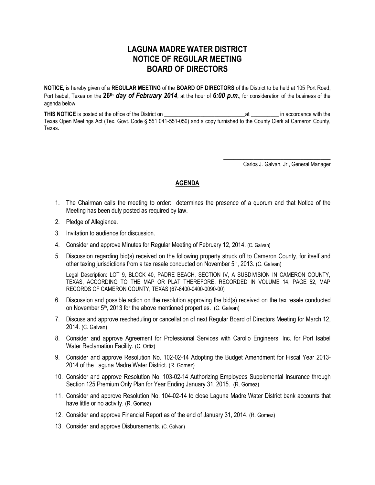## **LAGUNA MADRE WATER DISTRICT NOTICE OF REGULAR MEETING BOARD OF DIRECTORS**

**NOTICE,** is hereby given of a **REGULAR MEETING** of the **BOARD OF DIRECTORS** of the District to be held at 105 Port Road, Port Isabel, Texas on the **26th** *day of February 2014*, at the hour of *6:00 p.m.*, for consideration of the business of the agenda below.

**THIS NOTICE** is posted at the office of the District on \_\_\_\_\_\_\_\_\_\_\_\_\_\_\_\_\_\_\_\_\_\_\_\_\_\_\_\_\_at \_\_\_\_\_\_\_\_\_\_ in accordance with the Texas Open Meetings Act (Tex. Govt. Code § 551 041-551-050) and a copy furnished to the County Clerk at Cameron County, Texas.

Carlos J. Galvan, Jr., General Manager

\_\_\_\_\_\_\_\_\_\_\_\_\_\_\_\_\_\_\_\_\_\_\_\_\_\_\_\_\_\_\_\_

## **AGENDA**

- 1. The Chairman calls the meeting to order: determines the presence of a quorum and that Notice of the Meeting has been duly posted as required by law.
- 2. Pledge of Allegiance.
- 3. Invitation to audience for discussion.
- 4. Consider and approve Minutes for Regular Meeting of February 12, 2014. (C. Galvan)
- 5. Discussion regarding bid(s) received on the following property struck off to Cameron County, for itself and other taxing jurisdictions from a tax resale conducted on November  $5<sup>th</sup>$ , 2013. (C. Galvan)

Legal Description: LOT 9, BLOCK 40, PADRE BEACH, SECTION IV, A SUBDIVISION IN CAMERON COUNTY, TEXAS, ACCORDING TO THE MAP OR PLAT THEREFORE, RECORDED IN VOLUME 14, PAGE 52, MAP RECORDS OF CAMERON COUNTY, TEXAS (67-6400-0400-0090-00)

- 6. Discussion and possible action on the resolution approving the bid(s) received on the tax resale conducted on November 5<sup>th</sup>, 2013 for the above mentioned properties. (C. Galvan)
- 7. Discuss and approve rescheduling or cancellation of next Regular Board of Directors Meeting for March 12, 2014. (C. Galvan)
- 8. Consider and approve Agreement for Professional Services with Carollo Engineers, Inc. for Port Isabel Water Reclamation Facility. (C. Ortiz)
- 9. Consider and approve Resolution No. 102-02-14 Adopting the Budget Amendment for Fiscal Year 2013- 2014 of the Laguna Madre Water District. (R. Gomez)
- 10. Consider and approve Resolution No. 103-02-14 Authorizing Employees Supplemental Insurance through Section 125 Premium Only Plan for Year Ending January 31, 2015. (R. Gomez)
- 11. Consider and approve Resolution No. 104-02-14 to close Laguna Madre Water District bank accounts that have little or no activity. (R. Gomez)
- 12. Consider and approve Financial Report as of the end of January 31, 2014. (R. Gomez)
- 13. Consider and approve Disbursements. (C. Galvan)